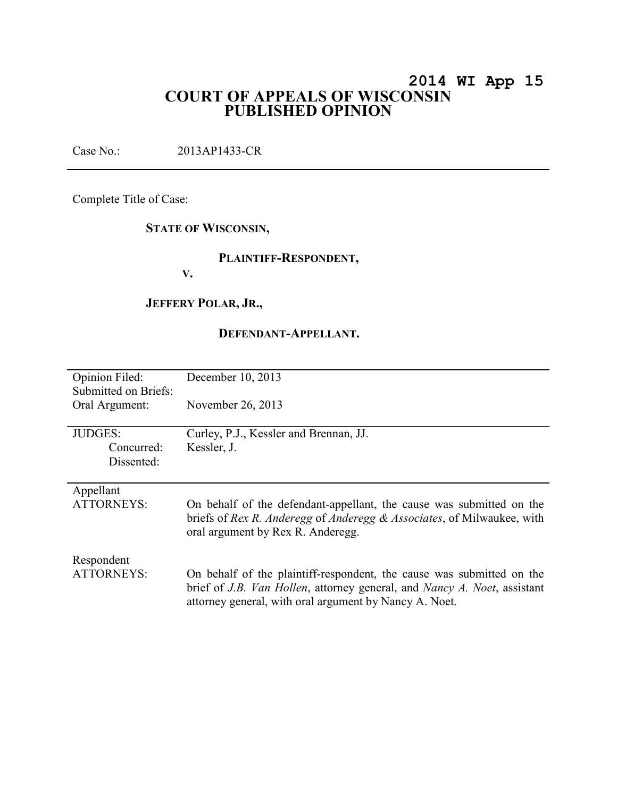# **2014 WI App 15 COURT OF APPEALS OF WISCONSIN PUBLISHED OPINION**

Case No.: 2013AP1433-CR

Complete Title of Case:

## **STATE OF WISCONSIN,**

### **PLAINTIFF-RESPONDENT,**

**V.** 

### **JEFFERY POLAR, JR.,**

#### **DEFENDANT-APPELLANT.**

| Opinion Filed:<br>Submitted on Briefs: | December 10, 2013                                                                                                                                                                                           |
|----------------------------------------|-------------------------------------------------------------------------------------------------------------------------------------------------------------------------------------------------------------|
| Oral Argument:                         | November 26, 2013                                                                                                                                                                                           |
| <b>JUDGES:</b>                         | Curley, P.J., Kessler and Brennan, JJ.                                                                                                                                                                      |
| Concurred:                             | Kessler, J.                                                                                                                                                                                                 |
| Dissented:                             |                                                                                                                                                                                                             |
|                                        |                                                                                                                                                                                                             |
| Appellant                              |                                                                                                                                                                                                             |
| <b>ATTORNEYS:</b>                      | On behalf of the defendant-appellant, the cause was submitted on the<br>briefs of Rex R. Anderegg of Anderegg & Associates, of Milwaukee, with<br>oral argument by Rex R. Anderegg.                         |
| Respondent                             |                                                                                                                                                                                                             |
| <b>ATTORNEYS:</b>                      | On behalf of the plaintiff-respondent, the cause was submitted on the<br>brief of J.B. Van Hollen, attorney general, and Nancy A. Noet, assistant<br>attorney general, with oral argument by Nancy A. Noet. |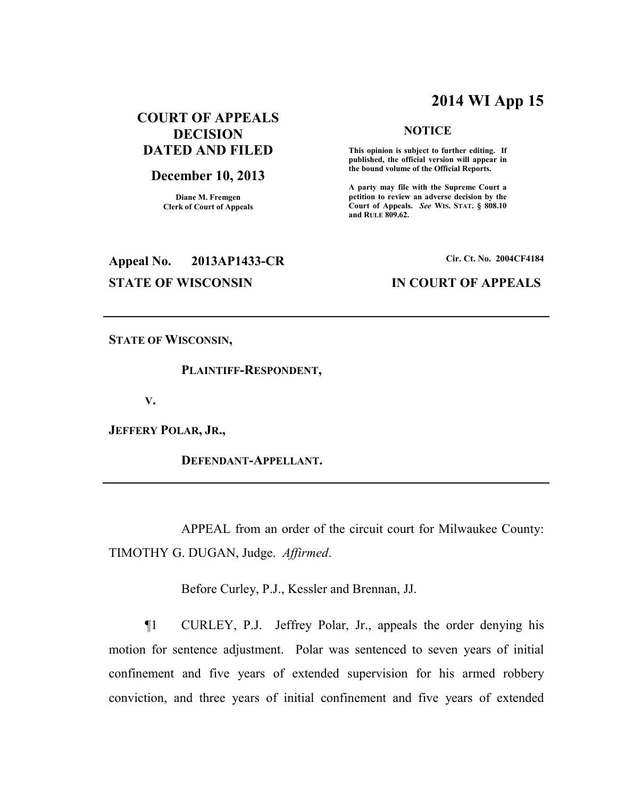# **2014 WI App 15**

**NOTICE** 

 **This opinion is subject to further editing. If published, the official version will appear in the bound volume of the Official Reports.** 

**A party may file with the Supreme Court a petition to review an adverse decision by the Court of Appeals.** *See* **WIS. STAT. § 808.10** 

**and RULE 809.62.** 

# **COURT OF APPEALS DECISION DATED AND FILED**

#### **December 10, 2013**

**Diane M. Fremgen Clerk of Court of Appeals** 

# **Appeal No. 2013AP1433-CR Cir. Ct. No. 2004CF4184**

#### **STATE OF WISCONSIN IN COURT OF APPEALS**

**STATE OF WISCONSIN,** 

 **PLAINTIFF-RESPONDENT,** 

**V.** 

**JEFFERY POLAR, JR.,** 

 **DEFENDANT-APPELLANT.** 

 APPEAL from an order of the circuit court for Milwaukee County: TIMOTHY G. DUGAN, Judge. *Affirmed*.

Before Curley, P.J., Kessler and Brennan, JJ.

¶1 CURLEY, P.J. Jeffrey Polar, Jr., appeals the order denying his motion for sentence adjustment. Polar was sentenced to seven years of initial confinement and five years of extended supervision for his armed robbery conviction, and three years of initial confinement and five years of extended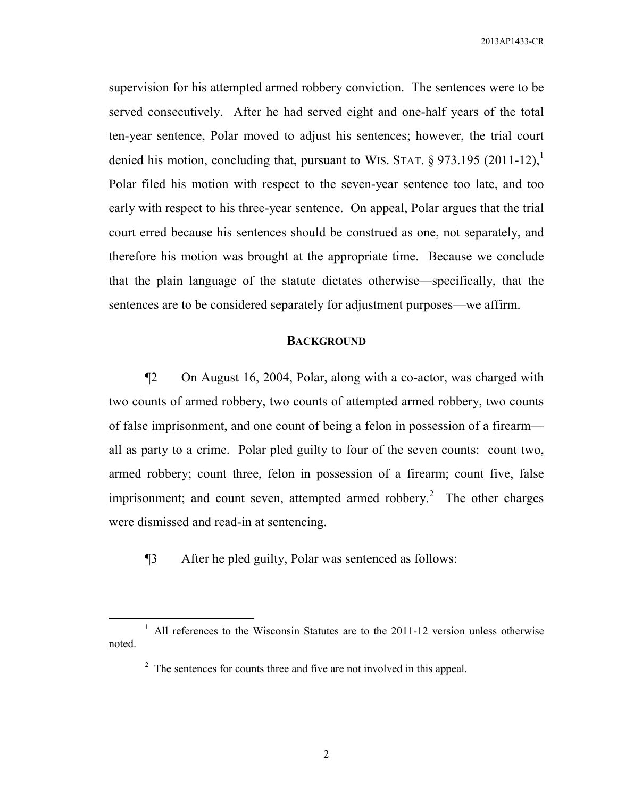supervision for his attempted armed robbery conviction. The sentences were to be served consecutively. After he had served eight and one-half years of the total ten-year sentence, Polar moved to adjust his sentences; however, the trial court denied his motion, concluding that, pursuant to WIS. STAT. § 973.195 (2011-12),<sup>1</sup> Polar filed his motion with respect to the seven-year sentence too late, and too early with respect to his three-year sentence. On appeal, Polar argues that the trial court erred because his sentences should be construed as one, not separately, and therefore his motion was brought at the appropriate time. Because we conclude that the plain language of the statute dictates otherwise—specifically, that the sentences are to be considered separately for adjustment purposes—we affirm.

#### **BACKGROUND**

¶2 On August 16, 2004, Polar, along with a co-actor, was charged with two counts of armed robbery, two counts of attempted armed robbery, two counts of false imprisonment, and one count of being a felon in possession of a firearm all as party to a crime. Polar pled guilty to four of the seven counts: count two, armed robbery; count three, felon in possession of a firearm; count five, false imprisonment; and count seven, attempted armed robbery.<sup>2</sup> The other charges were dismissed and read-in at sentencing.

¶3 After he pled guilty, Polar was sentenced as follows:

 $\overline{a}$ 

 $<sup>1</sup>$  All references to the Wisconsin Statutes are to the 2011-12 version unless otherwise</sup> noted.

 $2^2$  The sentences for counts three and five are not involved in this appeal.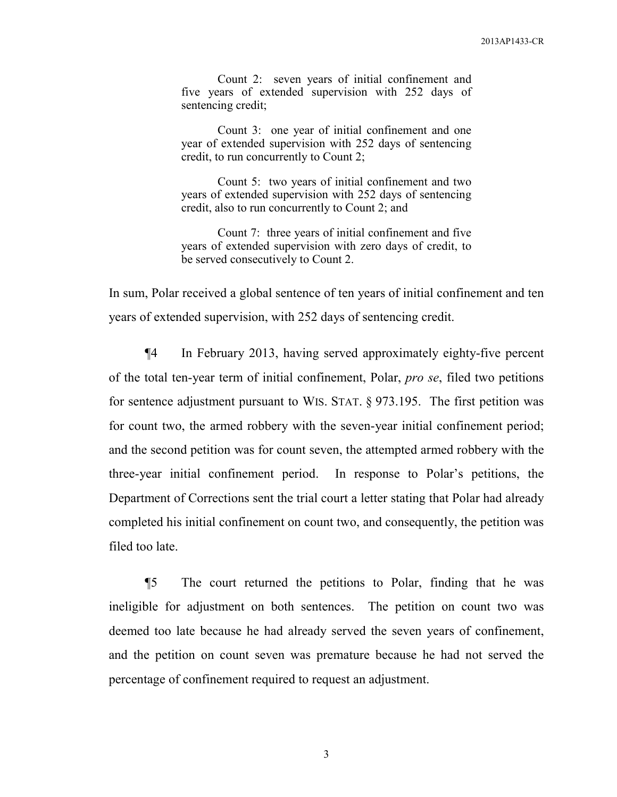Count 2: seven years of initial confinement and five years of extended supervision with 252 days of sentencing credit;

 Count 3: one year of initial confinement and one year of extended supervision with 252 days of sentencing credit, to run concurrently to Count 2;

 Count 5: two years of initial confinement and two years of extended supervision with 252 days of sentencing credit, also to run concurrently to Count 2; and

 Count 7: three years of initial confinement and five years of extended supervision with zero days of credit, to be served consecutively to Count 2.

In sum, Polar received a global sentence of ten years of initial confinement and ten years of extended supervision, with 252 days of sentencing credit.

¶4 In February 2013, having served approximately eighty-five percent of the total ten-year term of initial confinement, Polar, *pro se*, filed two petitions for sentence adjustment pursuant to WIS. STAT. § 973.195. The first petition was for count two, the armed robbery with the seven-year initial confinement period; and the second petition was for count seven, the attempted armed robbery with the three-year initial confinement period. In response to Polar's petitions, the Department of Corrections sent the trial court a letter stating that Polar had already completed his initial confinement on count two, and consequently, the petition was filed too late.

¶5 The court returned the petitions to Polar, finding that he was ineligible for adjustment on both sentences. The petition on count two was deemed too late because he had already served the seven years of confinement, and the petition on count seven was premature because he had not served the percentage of confinement required to request an adjustment.

3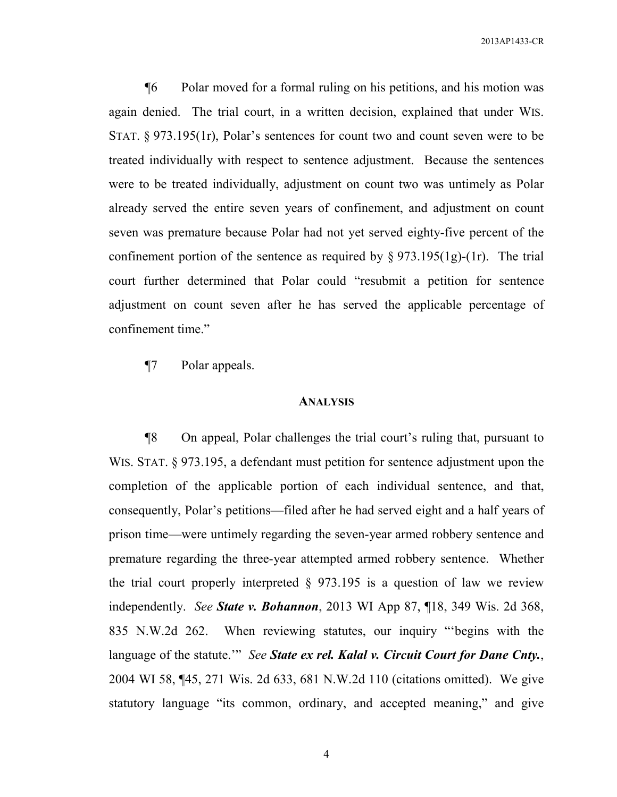¶6 Polar moved for a formal ruling on his petitions, and his motion was again denied. The trial court, in a written decision, explained that under WIS. STAT. § 973.195(1r), Polar's sentences for count two and count seven were to be treated individually with respect to sentence adjustment. Because the sentences were to be treated individually, adjustment on count two was untimely as Polar already served the entire seven years of confinement, and adjustment on count seven was premature because Polar had not yet served eighty-five percent of the confinement portion of the sentence as required by  $\S 973.195(1g)-(1r)$ . The trial court further determined that Polar could "resubmit a petition for sentence adjustment on count seven after he has served the applicable percentage of confinement time."

¶7 Polar appeals.

#### **ANALYSIS**

¶8 On appeal, Polar challenges the trial court's ruling that, pursuant to WIS. STAT. § 973.195, a defendant must petition for sentence adjustment upon the completion of the applicable portion of each individual sentence, and that, consequently, Polar's petitions—filed after he had served eight and a half years of prison time—were untimely regarding the seven-year armed robbery sentence and premature regarding the three-year attempted armed robbery sentence. Whether the trial court properly interpreted  $\S$  973.195 is a question of law we review independently. *See State v. Bohannon*, 2013 WI App 87, ¶18, 349 Wis. 2d 368, 835 N.W.2d 262. When reviewing statutes, our inquiry "'begins with the language of the statute.'" *See State ex rel. Kalal v. Circuit Court for Dane Cnty.*, 2004 WI 58, ¶45, 271 Wis. 2d 633, 681 N.W.2d 110 (citations omitted). We give statutory language "its common, ordinary, and accepted meaning," and give

4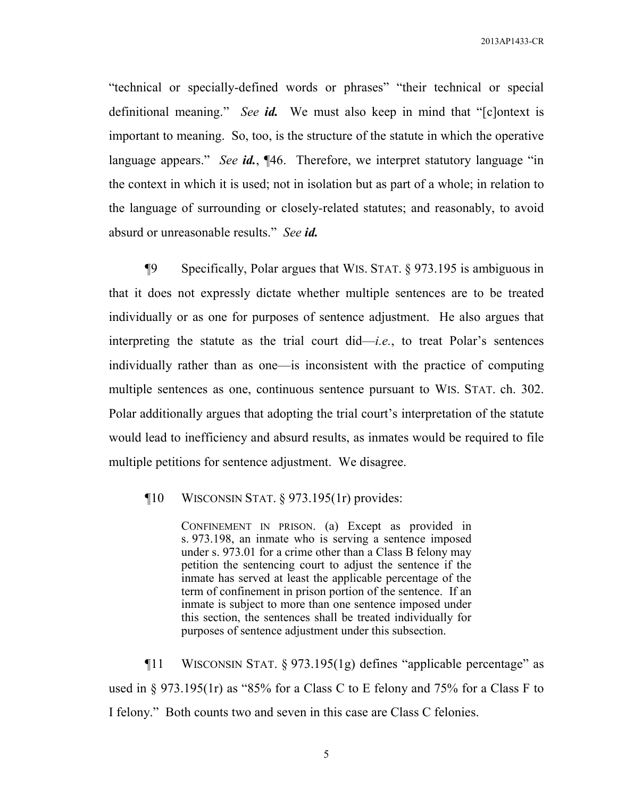"technical or specially-defined words or phrases" "their technical or special definitional meaning." *See id.* We must also keep in mind that "[c]ontext is important to meaning. So, too, is the structure of the statute in which the operative language appears." *See id.*, ¶46. Therefore, we interpret statutory language "in the context in which it is used; not in isolation but as part of a whole; in relation to the language of surrounding or closely-related statutes; and reasonably, to avoid absurd or unreasonable results." *See id.*

¶9 Specifically, Polar argues that WIS. STAT. § 973.195 is ambiguous in that it does not expressly dictate whether multiple sentences are to be treated individually or as one for purposes of sentence adjustment. He also argues that interpreting the statute as the trial court did—*i.e.*, to treat Polar's sentences individually rather than as one—is inconsistent with the practice of computing multiple sentences as one, continuous sentence pursuant to WIS. STAT. ch. 302. Polar additionally argues that adopting the trial court's interpretation of the statute would lead to inefficiency and absurd results, as inmates would be required to file multiple petitions for sentence adjustment. We disagree.

¶10 WISCONSIN STAT. § 973.195(1r) provides:

CONFINEMENT IN PRISON. (a) Except as provided in s. 973.198, an inmate who is serving a sentence imposed under s. 973.01 for a crime other than a Class B felony may petition the sentencing court to adjust the sentence if the inmate has served at least the applicable percentage of the term of confinement in prison portion of the sentence. If an inmate is subject to more than one sentence imposed under this section, the sentences shall be treated individually for purposes of sentence adjustment under this subsection.

¶11 WISCONSIN STAT. § 973.195(1g) defines "applicable percentage" as used in § 973.195(1r) as "85% for a Class C to E felony and 75% for a Class F to I felony." Both counts two and seven in this case are Class C felonies.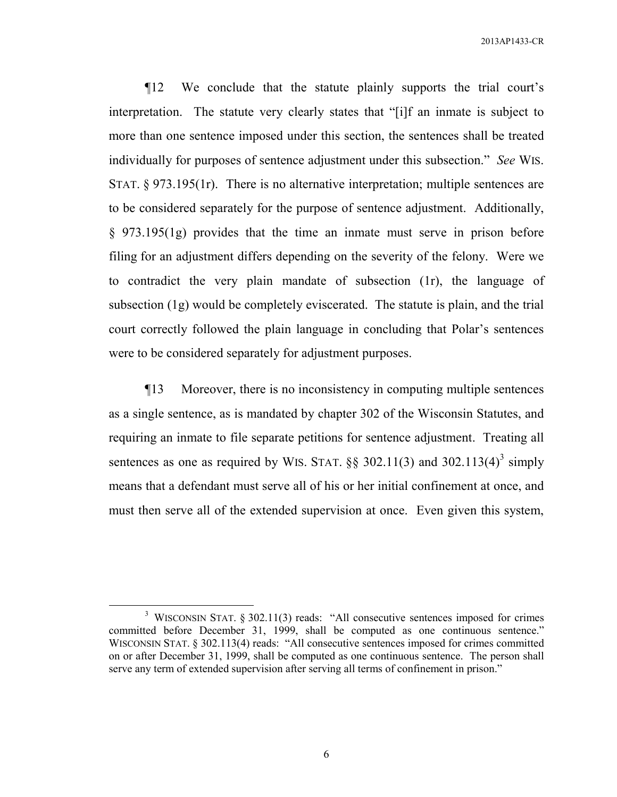¶12 We conclude that the statute plainly supports the trial court's interpretation. The statute very clearly states that "[i]f an inmate is subject to more than one sentence imposed under this section, the sentences shall be treated individually for purposes of sentence adjustment under this subsection." *See* WIS. STAT. § 973.195(1r). There is no alternative interpretation; multiple sentences are to be considered separately for the purpose of sentence adjustment. Additionally, § 973.195(1g) provides that the time an inmate must serve in prison before filing for an adjustment differs depending on the severity of the felony. Were we to contradict the very plain mandate of subsection (1r), the language of subsection (1g) would be completely eviscerated. The statute is plain, and the trial court correctly followed the plain language in concluding that Polar's sentences were to be considered separately for adjustment purposes.

¶13 Moreover, there is no inconsistency in computing multiple sentences as a single sentence, as is mandated by chapter 302 of the Wisconsin Statutes, and requiring an inmate to file separate petitions for sentence adjustment. Treating all sentences as one as required by WIS. STAT.  $\S\S$  302.11(3) and 302.113(4)<sup>3</sup> simply means that a defendant must serve all of his or her initial confinement at once, and must then serve all of the extended supervision at once. Even given this system,

 $\overline{a}$ 

6

<sup>&</sup>lt;sup>3</sup> WISCONSIN STAT. § 302.11(3) reads: "All consecutive sentences imposed for crimes committed before December 31, 1999, shall be computed as one continuous sentence." WISCONSIN STAT. § 302.113(4) reads: "All consecutive sentences imposed for crimes committed on or after December 31, 1999, shall be computed as one continuous sentence. The person shall serve any term of extended supervision after serving all terms of confinement in prison."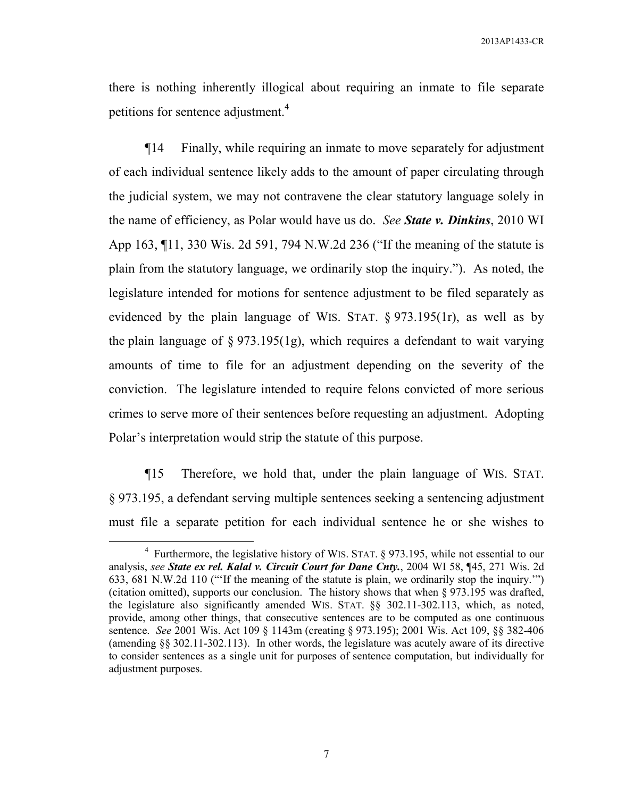there is nothing inherently illogical about requiring an inmate to file separate petitions for sentence adjustment.<sup>4</sup>

¶14 Finally, while requiring an inmate to move separately for adjustment of each individual sentence likely adds to the amount of paper circulating through the judicial system, we may not contravene the clear statutory language solely in the name of efficiency, as Polar would have us do. *See State v. Dinkins*, 2010 WI App 163, ¶11, 330 Wis. 2d 591, 794 N.W.2d 236 ("If the meaning of the statute is plain from the statutory language, we ordinarily stop the inquiry."). As noted, the legislature intended for motions for sentence adjustment to be filed separately as evidenced by the plain language of WIS. STAT. § 973.195(1r), as well as by the plain language of § 973.195(1g), which requires a defendant to wait varying amounts of time to file for an adjustment depending on the severity of the conviction. The legislature intended to require felons convicted of more serious crimes to serve more of their sentences before requesting an adjustment. Adopting Polar's interpretation would strip the statute of this purpose.

¶15 Therefore, we hold that, under the plain language of WIS. STAT. § 973.195, a defendant serving multiple sentences seeking a sentencing adjustment must file a separate petition for each individual sentence he or she wishes to

 $\overline{a}$ 

<sup>&</sup>lt;sup>4</sup> Furthermore, the legislative history of WIS. STAT. § 973.195, while not essential to our analysis, *see State ex rel. Kalal v. Circuit Court for Dane Cnty.*, 2004 WI 58, ¶45, 271 Wis. 2d 633, 681 N.W.2d 110 ("'If the meaning of the statute is plain, we ordinarily stop the inquiry.'") (citation omitted), supports our conclusion. The history shows that when § 973.195 was drafted, the legislature also significantly amended WIS. STAT. §§ 302.11-302.113, which, as noted, provide, among other things, that consecutive sentences are to be computed as one continuous sentence. *See* 2001 Wis. Act 109 § 1143m (creating § 973.195); 2001 Wis. Act 109, §§ 382-406 (amending §§ 302.11-302.113). In other words, the legislature was acutely aware of its directive to consider sentences as a single unit for purposes of sentence computation, but individually for adjustment purposes.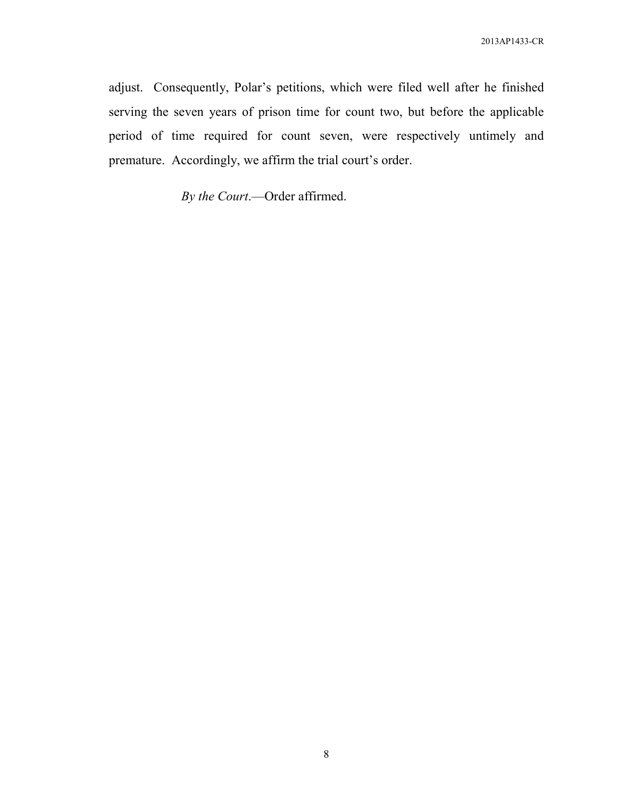adjust. Consequently, Polar's petitions, which were filed well after he finished serving the seven years of prison time for count two, but before the applicable period of time required for count seven, were respectively untimely and premature. Accordingly, we affirm the trial court's order.

*By the Court*.—Order affirmed.